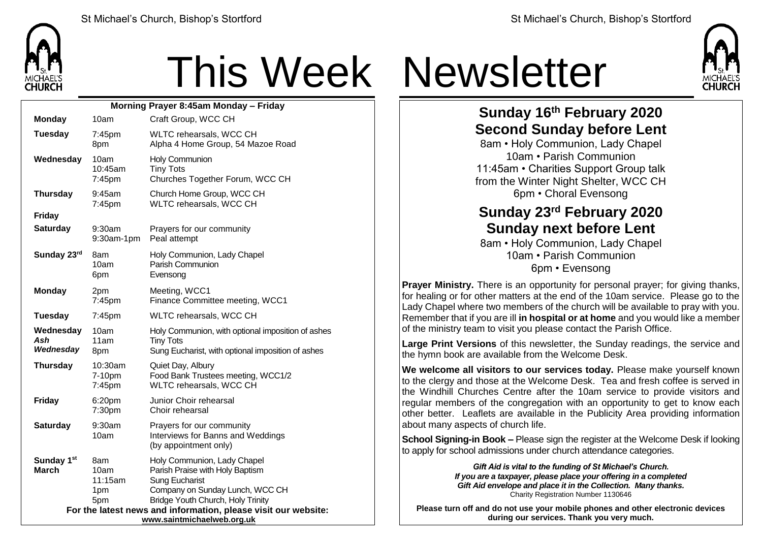

## This Week Newsletter



## **Sunday 16th February 2020 Second Sunday before Lent**

8am • Holy Communion, Lady Chapel 10am • Parish Communion 11:45am • Charities Support Group talk from the Winter Night Shelter, WCC CH 6pm • Choral Evensong

## **Sunday 23rd February 2020 Sunday next before Lent**

8am • Holy Communion, Lady Chapel 10am • Parish Communion 6pm • Evensong

**Prayer Ministry.** There is an opportunity for personal prayer; for giving thanks, for healing or for other matters at the end of the 10am service. Please go to the Lady Chapel where two members of the church will be available to pray with you. Remember that if you are ill **in hospital or at home** and you would like a member of the ministry team to visit you please contact the Parish Office.

**Large Print Versions** of this newsletter, the Sunday readings, the service and the hymn book are available from the Welcome Desk.

**We welcome all visitors to our services today.** Please make yourself known to the clergy and those at the Welcome Desk. Tea and fresh coffee is served in the Windhill Churches Centre after the 10am service to provide visitors and regular members of the congregation with an opportunity to get to know each other better. Leaflets are available in the Publicity Area providing information about many aspects of church life.

**School Signing-in Book –** Please sign the register at the Welcome Desk if looking to apply for school admissions under church attendance categories.

> *Gift Aid is vital to the funding of St Michael's Church. If you are a taxpayer, please place your offering in a completed Gift Aid envelope and place it in the Collection. Many thanks.* Charity Registration Number 1130646

**Please turn off and do not use your mobile phones and other electronic devices during our services. Thank you very much.**

| Morning Prayer 8:45am Monday - Friday                                                        |                                      |                                                                                                                                                                 |  |  |
|----------------------------------------------------------------------------------------------|--------------------------------------|-----------------------------------------------------------------------------------------------------------------------------------------------------------------|--|--|
| <b>Monday</b>                                                                                | 10am                                 | Craft Group, WCC CH                                                                                                                                             |  |  |
| <b>Tuesday</b>                                                                               | 7:45pm<br>8pm                        | WLTC rehearsals, WCC CH<br>Alpha 4 Home Group, 54 Mazoe Road                                                                                                    |  |  |
| Wednesday                                                                                    | 10am<br>10:45am<br>7:45pm            | Holy Communion<br><b>Tiny Tots</b><br>Churches Together Forum, WCC CH                                                                                           |  |  |
| <b>Thursday</b>                                                                              | 9:45am<br>7:45pm                     | Church Home Group, WCC CH<br>WLTC rehearsals, WCC CH                                                                                                            |  |  |
| <b>Friday</b>                                                                                |                                      |                                                                                                                                                                 |  |  |
| <b>Saturday</b>                                                                              | $9:30$ am<br>9:30am-1pm              | Prayers for our community<br>Peal attempt                                                                                                                       |  |  |
| Sunday 23rd                                                                                  | 8am<br>10am<br>6pm                   | Holy Communion, Lady Chapel<br>Parish Communion<br>Evensong                                                                                                     |  |  |
| <b>Monday</b>                                                                                | 2pm<br>7:45pm                        | Meeting, WCC1<br>Finance Committee meeting, WCC1                                                                                                                |  |  |
| <b>Tuesday</b>                                                                               | $7:45$ pm                            | WLTC rehearsals, WCC CH                                                                                                                                         |  |  |
| Wednesday<br>Ash<br>Wednesday                                                                | 10am<br>11am<br>8pm                  | Holy Communion, with optional imposition of ashes<br><b>Tiny Tots</b><br>Sung Eucharist, with optional imposition of ashes                                      |  |  |
| <b>Thursday</b>                                                                              | 10:30am<br>7-10pm<br>7:45pm          | Quiet Day, Albury<br>Food Bank Trustees meeting, WCC1/2<br>WLTC rehearsals, WCC CH                                                                              |  |  |
| <b>Friday</b>                                                                                | 6:20pm<br>7:30pm                     | Junior Choir rehearsal<br>Choir rehearsal                                                                                                                       |  |  |
| <b>Saturday</b>                                                                              | 9:30am<br>10am                       | Prayers for our community<br>Interviews for Banns and Weddings<br>(by appointment only)                                                                         |  |  |
| Sunday 1st<br><b>March</b>                                                                   | 8am<br>10am<br>11:15am<br>1pm<br>5pm | Holy Communion, Lady Chapel<br>Parish Praise with Holy Baptism<br><b>Sung Eucharist</b><br>Company on Sunday Lunch, WCC CH<br>Bridge Youth Church, Holy Trinity |  |  |
| For the latest news and information, please visit our website:<br>www.saintmichaelweb.org.uk |                                      |                                                                                                                                                                 |  |  |